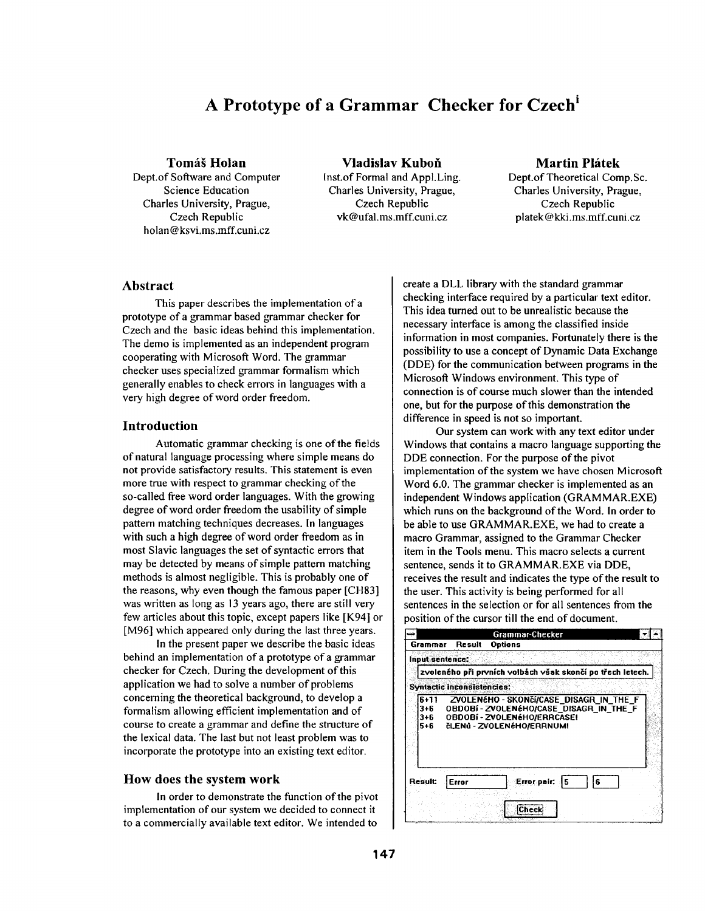# **A Prototype of a Grammar Checker for Czech i**

## **Tomáš Holan**

Dept.of Software and Computer Science Education Charles University, Prague, Czech Republic holan @ksvi.ms.mff.cuni.cz

**Vladislav Kubofi**  lnst.of Formal and AppI.Ling. Charles University, Prague, Czech Republic vk@ufal.ms.mff.cuni.cz

## **Martin Plátek**

Dept.of Theoretical Comp.Sc. Charles University, Prague, Czech Republic platek@kA:i.ms.mff.cuni.cz

## Abstract

This paper describes the implementation of a prototype of a grammar based grammar checker for Czech and the basic ideas behind this implementation. The demo is implemented as an independent program cooperating with Microsoft Word. The grammar checker uses specialized grammar formalism which generally enables to check errors in languages with a very high degree of word order freedom.

## **Introduction**

Automatic grammar checking is one of the fields of natural language processing where simple means do not provide satisfactory results. This statement is even more true with respect to grammar checking of the so-called free word order languages. With the growing degree of word order freedom the usability of simple pattern matching techniques decreases. In languages with such a high degree of word order freedom as in most Slavic languages the set of syntactic errors that may be detected by means of simple pattern matching methods is almost negligible. This is probably one of the reasons, why even though the famous paper [CH83] was written as long as 13 years ago, there are still very few articles about this topic, except papers like [K94] or [M96] which appeared only during the last three years.

In the present paper we describe the basic ideas behind an implementation of a prototype of a grammar checker for Czech. During the development of this application we had to solve a number of problems concerning the theoretical background, to develop a formalism allowing efficient implementation and of course to create a grammar and define the structure of the lexical data. The last but not least problem was to incorporate the prototype into an existing text editor.

### **How does the system work**

In order to demonstrate the function of the pivot implementation of our system we decided to connect it to a commercially available text editor. We intended to

create a DLL library with the standard grammar checking interface required by a particular text editor. This idea turned out to be unrealistic because the necessary interface is among the classified inside information in most companies. Fortunately there is the possibility to use a concept of Dynamic Data Exchange (DDE) for the communication between programs in the Microsoft Windows environment. This type of connection is of course much slower than the intended one, but for the purpose of this demonstration the difference in speed is not so important.

Our system can work with any text editor under Windows that contains a macro language supporting the DDE connection. For the purpose of the pivot implementation of the system we have chosen Microsoft Word 6.0. The grammar checker is implemented as an independent Windows application (GRAMMAR.EXE) which runs on the background of the Word. In order to be able to use GRAMMAR.EXE, we had to create a macro Grammar, assigned to the Grammar Checker item in the Tools menu. This macro selects a current sentence, sends it to GRAMMAR.EXE via DDE, receives the result and indicates the type of the result to the user. This activity is being performed for all sentences in the selection or for all sentences from the position of the cursor till the end of document.

|                                     |                                   | Grammar-Checker                                                                                                                              |  |
|-------------------------------------|-----------------------------------|----------------------------------------------------------------------------------------------------------------------------------------------|--|
| Grammar                             | <b>Result</b>                     | Options                                                                                                                                      |  |
| Input sentence:                     |                                   |                                                                                                                                              |  |
|                                     |                                   | zvoleného při prvních volbách však skončí po třech letech.                                                                                   |  |
|                                     | <b>Syntactic Inconsistencies:</b> |                                                                                                                                              |  |
| $6+11$<br>$3 + 6$<br>$3 + 6$<br>5+6 |                                   | ZVOLENÉHO - SKONČÍ/CASE DISAGR IN THE F<br>OBDOBÍ-ZVOLENÉHO/CASE DISAGR IN THE F<br>OBDOBí - ZVOLENÉHO/ERRCASE!<br>čLENŮ - ZVOLENÉHO/ERRNUM! |  |
| Result:                             | Error                             | Error pair:<br>15.<br>£<br>Check                                                                                                             |  |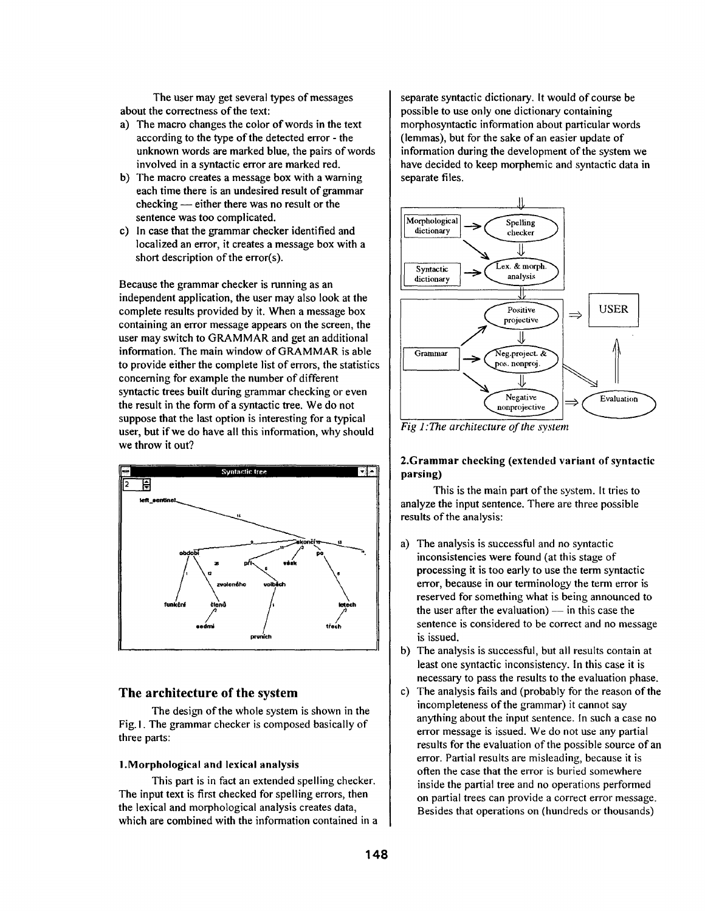The user may get several types of messages about the correctness of the text:

- a) The macro changes the color of words in the text according to the type of the detected error - the unknown words are marked blue, the pairs of words involved in a syntactic error are marked red.
- b) The macro creates a message box with a warning each time there is an undesired result of grammar checking - either there was no result or the sentence was too complicated.
- c) In case that the grammar checker identified and localized an error, it creates a message box with a short description of the error(s).

Because the grammar checker is running as an independent application, the user may also look at the complete results provided by it. When a message box containing an error message appears on the screen, the user may switch to GRAMMAR and get an additional information. The main window of GRAMMAR is able to provide either the complete list of errors, the statistics concerning for example the number of different syntactic trees built during grammar checking or even the result in the form of a syntactic tree. We do not suppose that the last option is interesting for a typical user, but if we do have all this information, why should we throw it out?



# **The architecture of the system**

The design of the whole system is shown in the Fig. I. The grammar checker is composed basically of three parts:

## **I.Morphological and lexical analysis**

This part is in fact an extended spelling checker. The input text is first checked for spelling errors, then the lexical and morphological analysis creates data, which are combined with the information contained in a separate syntactic dictionary. It would of course be possible to use only one dictionary containing morphosyntactic information about particular words (lemmas), but for the sake of an easier update of information during the development of the system we have decided to keep morphemic and syntactic data in separate files.



*Fig l:The architecture of the system* 

## 2.Grammar checking (extended variant of syntactic **parsing)**

This is the main part of the system. It tries to analyze the input sentence. There are three possible results of the analysis:

- a) The analysis is successful and no syntactic inconsistencies were found (at this stage of processing it is too early to use the term syntactic error, because in our terminology the term error is reserved for something what is being announced to the user after the evaluation)  $-$  in this case the sentence is considered to be correct and no message is issued.
- b) The analysis is successful, but all results contain at least one syntactic inconsistency. In this case it is necessary to pass the results to the evaluation phase.
- c) The analysis fails and (probably for the reason of the incompleteness of the grammar) it cannot say anything about the input sentence. In such a case no error message is issued. We do not use any partial results for the evaluation of the possible source of an error. Partial results are misleading, because it is often the case that the error is buried somewhere inside the partial tree and no operations performed on partial trees can provide a correct error message. Besides that operations on (hundreds or thousands)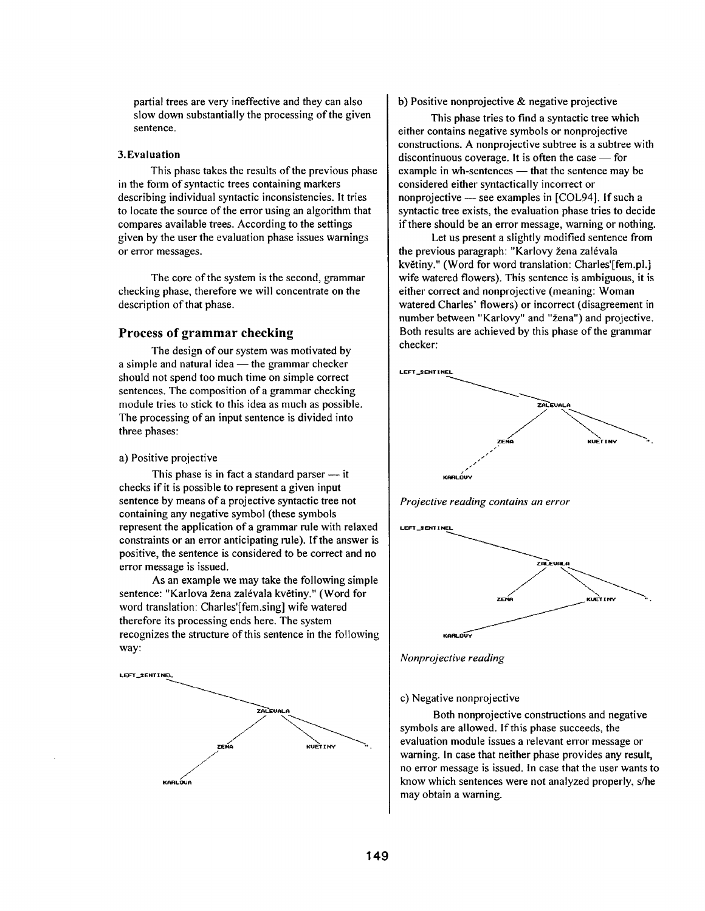partial trees are very ineffective and they can also slow down substantially the processing of the given sentence.

#### **3.Evaluation**

This phase takes the results of the previous phase in the form of syntactic trees containing markers describing individual syntactic inconsistencies. It tries to locate the source of the error using an algorithm that compares available trees. According to the settings given by the user the evaluation phase issues warnings or error messages.

The core of the system is the second, grammar checking phase, therefore we will concentrate on the description of that phase.

# **Process of grammar checking**

The design of our system was motivated by a simple and natural idea  $-$  the grammar checker should not spend too much time on simple correct sentences. The composition of a grammar checking module tries to stick to this idea as much as possible. The processing of an input sentence is divided into three phases:

## a) Positive projective

This phase is in fact a standard parser  $-$  it checks if it is possible to represent a given input sentence by means of a projective syntactic tree not containing any negative symbol (these symbols represent the application of a grammar rule with relaxed constraints or an error anticipating rule). If the answer is positive, the sentence is considered to be correct and no error message is issued.

As an example we may take the following simple sentence: "Karlova žena zalévala květiny." (Word for word translation: Charles'[fem.sing] wife watered therefore its processing ends here. The system recognizes the structure of this sentence in the following way:



### b) Positive nonprojective & negative projective

This phase tries to find a syntactic tree which either contains negative symbols or nonprojective constructions. A nonprojective subtree is a subtree with discontinuous coverage. It is often the case  $-$  for example in wh-sentences  $-$  that the sentence may be considered either syntactically incorrect or nonprojective  $-$  see examples in [COL94]. If such a syntactic tree exists, the evaluation phase tries to decide if there should be an error message, warning or nothing.

Let us present a slightly modified sentence from the previous paragraph: "Karlovy žena zalévala květiny." (Word for word translation: Charles'[fem.pl.] wife watered flowers). This sentence is ambiguous, it is either correct and nonprojective (meaning: Woman watered Charles' flowers) or incorrect (disagreement in number between "Karlovy" and "žena") and projective. Both results are achieved by this phase of the grammar checker:







*Nonprojective reading* 

#### c) Negative nonprojective

Both nonprojective constructions and negative symbols are allowed. If this phase succeeds, the evaluation module issues a relevant error message or warning. In case that neither phase provides any result, no error message is issued. In case that the user wants to know which sentences were not analyzed properly, s/he may obtain a warning.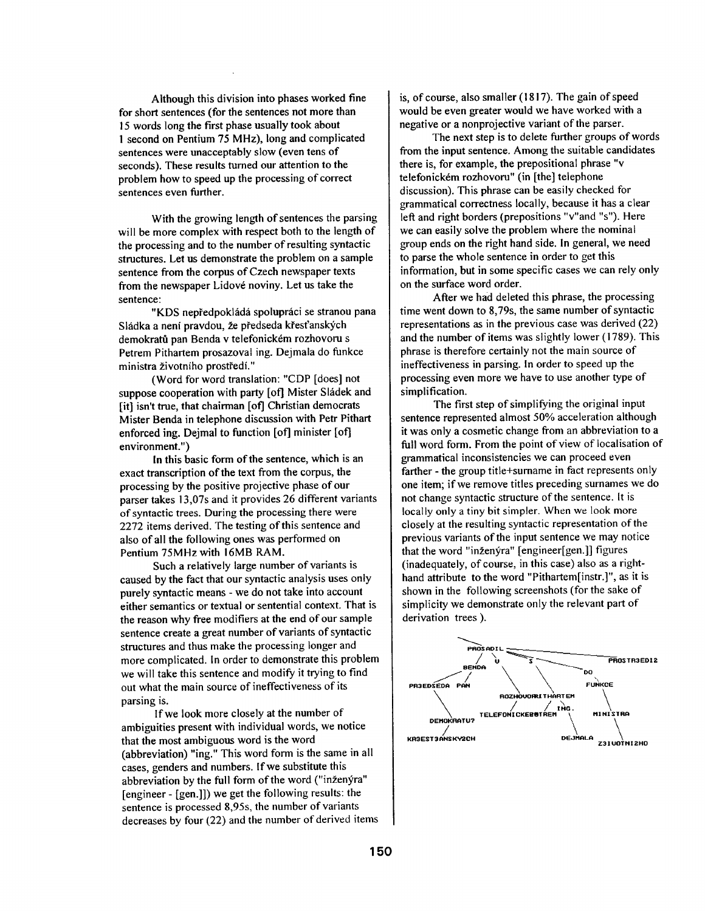Although this division into phases worked fine for short sentences (for the sentences not more than 15 words long the first phase usually took about 1 second on Pentium 75 MHz), long and complicated sentences were unacceptably slow (even tens of seconds). These results turned our attention to the problem how to speed up the processing of correct sentences even further.

With the growing length of sentences the parsing will be more complex with respect both to the length of the processing and to the number of resulting syntactic structures. Let us demonstrate the problem on a sample sentence from the corpus of Czech newspaper texts from the newspaper Lidové noviny. Let us take the sentence:

"KDS nepředpokládá spolupráci se stranou pana Sládka a není pravdou, že předseda křesťanských demokratů pan Benda v telefonickém rozhovoru s Petrem Pithartem prosazoval ing. Dejmala do funkce ministra životního prostředí."

(Word for word translation: "CDP [does] not suppose cooperation with party [of] Mister Sládek and [it] isn't true, that chairman [of] Christian democrats Mister Benda in telephone discussion with Petr Pithart enforced ing. Dejmal to function [of] minister [of] environment.")

In this basic form of the sentence, which is an exact transcription of the text from the corpus, the processing by the positive projective phase of our parser takes 13,07s and it provides 26 different variants of syntactic trees. During the processing there were 2272 items derived. The testing of this sentence and also of all the following ones was performed on Pentium 75MHz with 16MB RAM.

Such a relatively large number of variants is caused by the fact that our syntactic analysis uses only purely syntactic means - we do not take into account either semantics or textual or sentential context. That is the reason why free modifiers at the end of our sample sentence create a great number of variants of syntactic structures and thus make the processing longer and more complicated. In order to demonstrate this problem we will take this sentence and modify it trying to find out what the main source of ineffectiveness of its parsing is.

If we look more closely at the number of ambiguities present with individual words, we notice that the most ambiguous word is the word (abbreviation) "ing." This word form is the same in all cases, genders and numbers. If we substitute this abbreviation by the full form of the word ("inženýra" [engineer - [gem]]) we get the following results: the sentence is processed 8,95s, the number of variants decreases by four (22) and the number of derived items is, of course, also smaller (1817). The gain of speed would be even greater would we have worked with a negative or a nonprojective variant of the parser.

The next step is to *delete* further groups of words from the input sentence. Among the suitable candidates there is, for example, the prepositional phrase "v telefonickém rozhovoru" (in [the] telephone discussion). This phrase can be easily checked for grammatical correctness locally, because it has a clear left and right borders (prepositions "v"and "s"). Here we can easily solve the problem where the nominal group ends on the right hand side. in general, we need to parse the whole sentence in order to get this information, but in some specific cases we can rely only on the surface word order.

After we had deleted this phrase, the processing time went down to 8,79s, the same number of syntactic representations as in the previous case was derived (22) and the number of items was slightly lower (1789). This phrase is therefore certainly not the main source of ineffectiveness in parsing. In order to speed up the processing even more we have to use another type of simplification.

The first step of simplifying the original input sentence represented almost 50% acceleration although it was only a cosmetic change from an abbreviation to a full word form. From the point of view of localisation of grammatical inconsistencies we can proceed even farther - the group title+surname in fact represents only one item; if we remove titles preceding surnames we do not change syntactic structure of the sentence. It is locally only a tiny bit simpler. When we look more closely at the resulting syntactic representation of the previous variants of the input sentence we may notice that the word "inženýra" [engineer[gen.]] figures (inadequately, of course, in this case) also as a righthand attribute to the word "Pithartem[instr.]", as it is shown in the following screenshots (for the sake of simplicity we demonstrate only the relevant part of derivation trees ).

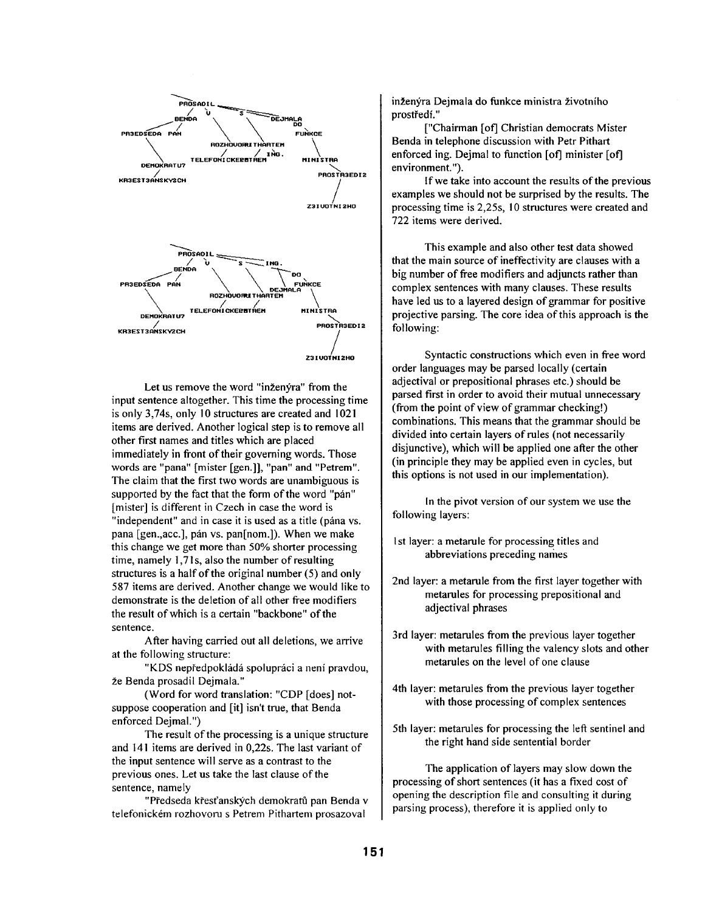

Let us remove the word "inženýra" from the input sentence altogether. This time the processing time is only 3,74s, only 10 structures are created and 1021 items are derived. Another logical step is to remove all other first names and titles which are placed immediately in front of their governing words. Those words are "pana" [mister [gen.]], "pan" and "Petrem". The claim that the first two words are unambiguous is supported by the fact that the form of the word "pán" [mister] is different in Czech in case the word is "independent" and in case it is used as a title (pana vs. pana [gen., acc.], pán vs. pan[nom.]). When we make this change we get more than 50% shorter processing time, namely  $1,71$ s, also the number of resulting structures is a half of the original number (5) and only 587 items are derived. Another change we would like to demonstrate is the deletion of all other free modifiers the result of which is a certain "backbone" of the sentence.

After having carried out all deletions, we arrive at the following structure:

"KDS nepředpokládá spolupráci a není pravdou, že Benda prosadil Dejmala."

(Word for word translation: "CDP [does] notsuppose cooperation and [it] isn't true, that Benda enforced Dejmal.")

The result of the processing is a unique structure and 141 items are derived in 0,22s. The last variant of the input sentence will serve as a contrast to the previous ones. Let us take the last clause of the sentence, namely

"Předseda křesťanských demokratů pan Benda v telefonickém rozhovoru s Petrem Pithartem prosazoval

inženýra Dejmala do funkce ministra životního prostředí."

["Chairman [of] Christian democrats Mister Benda in telephone discussion with Petr Pithart enforced ing. Dejmal to function [of] minister [of] environment.").

If we take into account the results of the previous examples we should not be surprised by the results. The processing time is 2,25s, 10 structures were created and 722 items were derived.

This example and also other test data showed that the main source of ineffectivity are clauses with a big number of free modifiers and adjuncts rather than complex sentences with many clauses. These results have led us to a layered design of grammar for positive projective parsing. The core idea of this approach is the following:

Syntactic constructions which even in free word order languages may be parsed locally (certain adjectival or prepositional phrases etc.) should be parsed first in order to avoid their mutual unnecessary (from the point of view of grammar checking!) combinations. This means that the grammar should be divided into certain layers of rules (not necessarily disjunctive), which will be applied one atter the other (in principle they may be applied even in cycles, but this options is not used in our implementation).

In the pivot version of our system we use the following layers:

- I st layer: a metarule for processing titles and abbreviations preceding names
- 2nd layer: a metarule from the first layer together with metarules for processing prepositional and adjectival phrases
- 3rd layer: metarules from the previous layer together with metarules filling the valency slots and other metarules on the level of one clause
- 4th layer: metarules from the previous layer together with those processing of complex sentences
- 5th layer: metarules for processing the left sentinel and the right hand side sentential border

The application of layers may slow down the processing of short sentences (it has a fixed cost of opening the description file and consulting it during parsing process), therefore it is applied only to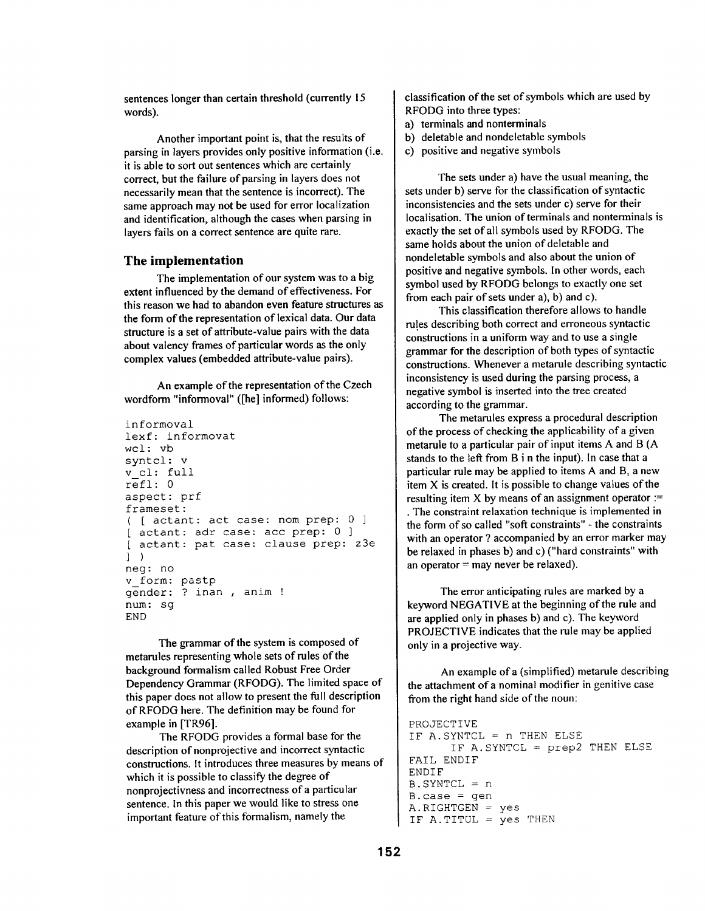sentences longer than certain threshold (currently 15 words).

Another important point is, that the results of parsing in layers provides only positive information (i.e. it is able to sort out sentences which are certainly correct, but the failure of parsing in layers does not necessarily mean that the sentence is incorrect). The same approach may not be used for error localization and identification, although the cases when parsing in layers fails on a correct sentence are quite rare.

# **The implementation**

**The implementation of our system was to a big extent influenced by the demand of effectiveness. For this reason we had to abandon even feature structures as the form of the representation of lexical data. Our data structure is a set of attribute-value pairs with the data about valency frames of particular words as the only complex values (embedded attribute-value pairs).** 

An example of the representation of the Czech wordform "informoval" ([he] informed) follows:

```
informoval 
lexf: informovat 
wcl: vb 
syntcl: v 
v cl: full 
refl: 0 
aspect: prf 
frameset: 
( [ actant: act case: nom prep: 0 
] 
[ actant: adr case: acc prep: 0 ]
[ actant: pat case: clause prep: 
z3e 
]) 
neg: no 
v form: pastp 
gender: ? inan, anim !
num: sg 
END
```
The grammar of the system is composed of metarules representing whole sets of rules of the background formalism called Robust Free Order Dependency Grammar (RFODG). The limited space of this paper does not allow to present the full description of RFODG here. The definition may be found for example in [TR96].

The RFODG provides a formal base for the description of nonprojective and incorrect syntactic constructions. It introduces three measures by means of which it is possible to classify the degree of nonprojectivness and incorrectness of a particular sentence. In this paper we would like to stress one important feature of this formalism, namely the

classification of the set of symbols which are used by RFODG into three types:

- a) terminals and nonterminals
- b) deletable and nondeletable symbols
- c) positive and negative symbols

The sets under a) have the usual meaning, the sets under b) serve for the classification of syntactic inconsistencies and the sets under c) serve for their Iocalisation. The union of terminals and nonterminals is exactly the set of all symbols used by RFODG. The same holds about the union of deletable and nondeletable symbols and also about the union of positive and negative symbols. In other words, each symbol used by RFODG belongs to exactly one set from each pair of sets under a), b) and c).

This classification therefore allows to handle rules describing both correct and erroneous syntactic constructions in a uniform way and to use a single grammar for the description of both types of syntactic constructions. Whenever a metarule describing syntactic inconsistency is used during the parsing process, a negative symbol is inserted into the tree created according to the grammar.

The metarules express a procedural description of the process of checking the applicability of a given metarule to a particular pair of input items A and B (A stands to the left from B i n the input). In case that a particular rule may be applied to items A and B, a new item X is created. It is possible to change values of the resulting item X by means of an assignment operator := • The constraint relaxation technique is implemented in the form of so called "soft constraints" - the constraints with an operator ? accompanied by an error marker may be relaxed in phases b) and c) ("hard constraints" with an operator  $=$  may never be relaxed).

The error anticipating rules are marked by a keyword NEGATIVE at the beginning of the rule and are applied only in phases b) and c). The keyword PROJECTIVE indicates that the rule may be applied only in a projective way.

An example of a (simplified) metarule describing the attachment of a nominal modifier in genitive case from the right hand side of the noun:

```
PROJECTIVE 
IF A.SYNTCL = n THEN ELSE
       IF A.SYNTCL = prep2 
THEN ELSE 
FAIL ENDIF 
ENDIF 
B.SYNTCL = nB \cdot case = genA.RIGHTGEN = yesIF A.TITUL = yes THEN
```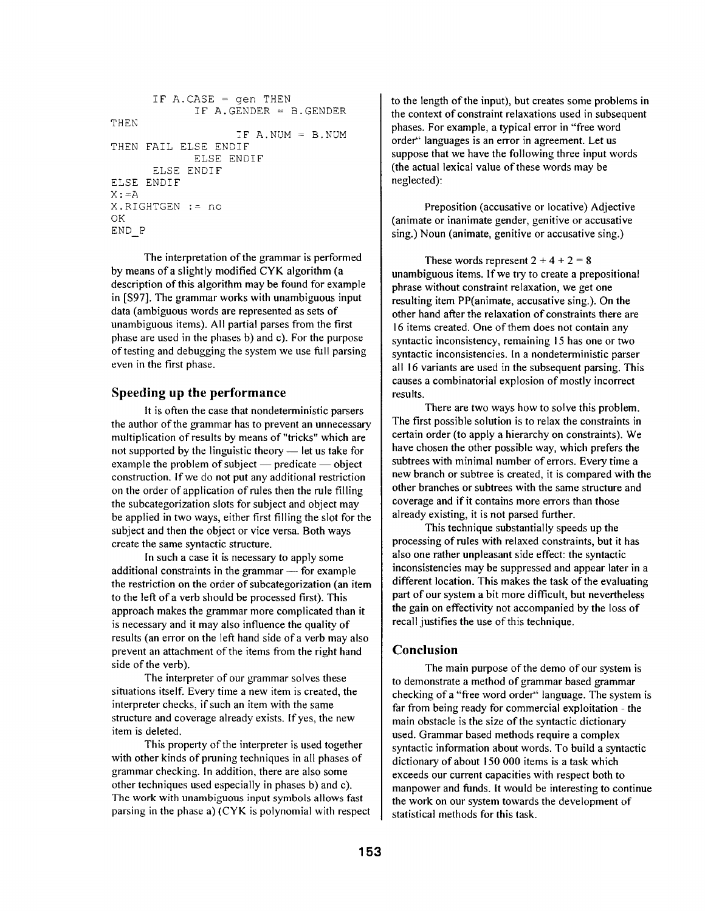```
THEN 
THEN 
FAIL ELSE ENDIF 
      IF A.CASE = gen THENIF A.GENDER = B.GENDERIF A. NUM = B. NUMELSE ENDIF 
      ELSE ENDIF 
ELSE ENDIF 
X:=AX.RIGHTGEN := no 
OK 
END P
```
The interpretation of the grammar is performed by means of a slightly modified CYK algorithm (a description of this algorithm may be found for example in [\$97]. The grammar works with unambiguous input data (ambiguous words are represented as sets of unambiguous items). All partial parses from the first phase are used in the phases b) and c). For the purpose of testing and debugging the system we use full parsing even in the first phase.

# **Speeding up** the performance

It is often the case that nondeterministic parsers the author of the grammar has to prevent an unnecessary multiplication of results by means of"tricks" which are not supported by the linguistic theory  $-$  let us take for example the problem of subject  $-$  predicate  $-$  object construction. If we do not put any additional restriction on the order of application of rules then the rule filling the subcategorization slots for subject and object may be applied in two ways, either first filling the slot for the subject and then the object or vice versa. Both ways create the same syntactic structure.

In such a case it is necessary to apply some additional constraints in the grammar  $-$  for example the restriction on the order of subcategorization (an item to the left of a verb should be processed first). This approach makes the grammar more complicated than it is necessary and it may also influence the quality of results (an error on the left hand side of a verb may also prevent an attachment of the items from the right hand side of the verb).

The interpreter of our grammar solves these situations itself. Every time a new item is created, the interpreter checks, if such an item with the same structure and coverage already exists. If yes, the new item is deleted.

This property of the interpreter is used together with other kinds of pruning techniques in all phases of grammar checking. In addition, there are also some other techniques used especially in phases b) and c). The work with unambiguous input symbols allows fast parsing in the phase a) (CYK is polynomial with respect

to the length of the input), but creates some problems in the context of constraint relaxations used in subsequent phases. For example, a typical error in "free word order'' languages is an error in agreement. Let us suppose that we have the following three input words (the actual lexical value of these words may be neglected):

Preposition (accusative or locative) Adjective (animate or inanimate gender, genitive or accusative sing.) Noun (animate, genitive or accusative sing.)

These words represent  $2 + 4 + 2 = 8$ unambiguous items. If we try to create a prepositional phrase without constraint relaxation, we get one resulting item PP(animate, accusative sing.). On the other hand after the relaxation of constraints there are 16 items created. One of them does not contain any syntactic inconsistency, remaining 15 has one or two syntactic inconsistencies. In a nondeterministic parser all 16 variants are used in the subsequent parsing. This causes a combinatorial explosion of mostly incorrect results.

There are two ways how to solve this problem. The first possible solution is to relax the constraints in certain order (to apply a hierarchy on constraints). We have chosen the other possible way, which prefers the subtrees with minimal number of errors. Every time a new branch or subtree is created, it is compared with the other branches or subtrees with the same structure and coverage and if it contains more errors than those already existing, it is not parsed further.

This technique substantially speeds up the processing of rules with relaxed constraints, but it has also one rather unpleasant side effect: the syntactic inconsistencies may be suppressed and appear later in a different location. This makes the task of the evaluating part of our system a bit more difficult, but nevertheless the gain on effectivity not accompanied by the loss of recall justifies the use of this technique.

## **Conclusion**

The main purpose of the demo of our system is to demonstrate a method of grammar based grammar checking of a "free word order" language. The system is far from being ready for commercial exploitation - the main obstacle is the size of the syntactic dictionary used. Grammar based methods require a complex syntactic information about words. To build a syntactic dictionary of about 150 000 items is a task which exceeds our current capacities with respect both to manpower and funds. It would be interesting to continue the work on our system towards the development of statistical methods for this task.